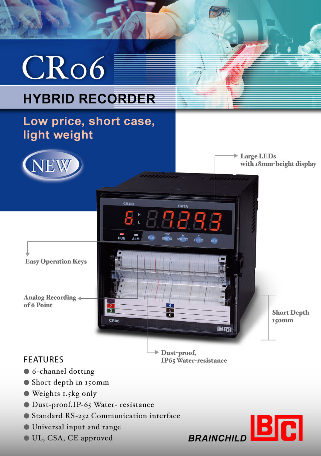

**BR** 

**BRAINCHILD** 

- Standard RS-232 Communication interface
- **O** Universal input and range
- UL, CSA, CE approved